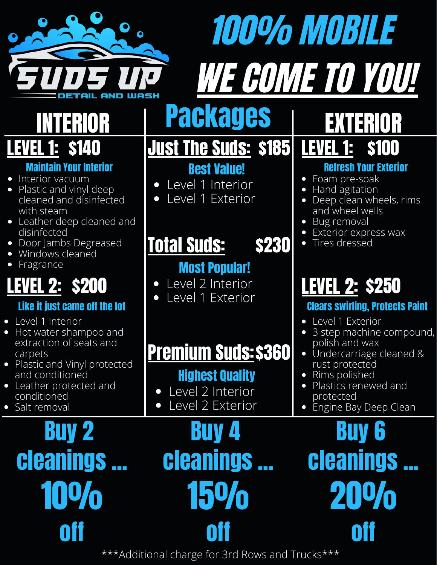

## 100% MOBILE WE COME TO YOU!

#### **Maintain Your Interior**

- Interior vacuum
- Plastic and vinyl deep cleaned and disinfected with steam
- $\bullet$  Leather deep cleaned a disinfected
- Door Jambs Degreased
- Windows cleaned
- Fragrance

### LEVEL 2: \$200

### Like it just came off the Iq

- Level 1 Interior
- Hot water shampoo and extraction of seats and carpets
- Plastic and Vinyl protect and conditioned
- Leather protected and conditioned
- Salt removal  $\bullet$

## **BUV cleanings** . 1**0%** off

| ▌▌░▐▌▆▌▞┨▐▐▁▌▞▞                                                                                                                                                                                                                                                                                                    | <b>Packages</b>                                                                                                                                                                                     | ▌ <b>ই</b> ▓ ▋▊▚▎▌▌▌▞                                                                                                                                                                                                                                                      |
|--------------------------------------------------------------------------------------------------------------------------------------------------------------------------------------------------------------------------------------------------------------------------------------------------------------------|-----------------------------------------------------------------------------------------------------------------------------------------------------------------------------------------------------|----------------------------------------------------------------------------------------------------------------------------------------------------------------------------------------------------------------------------------------------------------------------------|
| <b>LEVEL 1: \$140</b><br><b>Maintain Your Interior</b><br>• Interior vacuum<br>Plastic and vinyl deep<br>$\bullet$<br>cleaned and disinfected<br>with steam<br>Leather deep cleaned and<br>$\bullet$<br>disinfected<br>Door Jambs Degreased<br>$\bullet$<br>Windows cleaned<br>$\bullet$<br>Fragrance<br>$\bullet$ | <u><b>Just The Suds: \$185 LEVEL 1: \$100</b></u><br><b>Best Value!</b><br>Level 1 Interior<br>$\bullet$<br>Level 1 Exterior<br>$\bullet$<br><b>Total Suds:</b><br><b>\$230</b>                     | <b>Refresh Your Exterior</b><br>Foam pre-soak<br>Hand agitation<br>Deep clean wheels, rims<br>and wheel wells<br>Bug removal<br>Exterior express wax<br>Tires dressed                                                                                                      |
| <u>LEVEL 2:</u> \$200<br>Like it just came off the lot<br>Level 1 Interior<br>Hot water shampoo and<br>extraction of seats and<br>carpets<br>Plastic and Vinyl protected<br>and conditioned<br>Leather protected and<br>conditioned<br>Salt removal                                                                | <b>Most Popular!</b><br>Level 2 Interior<br>$\bullet$<br>Level 1 Exterior<br><b>Premium Suds: \$360</b><br><b>Highest Quality</b><br>Level 2 Interior<br>$\bullet$<br>Level 2 Exterior<br>$\bullet$ | <b>LEVEL 2: \$250</b><br><b>Clears swirling, Protects Paint</b><br>Level 1 Exterior<br>3 step machine compound,<br>polish and wax<br>Undercarriage cleaned &<br>$\bullet$<br>rust protected<br>Rims polished<br>Plastics renewed and<br>protected<br>Engine Bay Deep Clean |
|                                                                                                                                                                                                                                                                                                                    | <b>Buy 2</b> Buy 4 Buy 6<br><b>cleanings cleanings cleanings</b><br>10% 15% 20%                                                                                                                     |                                                                                                                                                                                                                                                                            |

off

\*\*\*Additional charge for 3rd Rows and Trucks\*\*\*

off